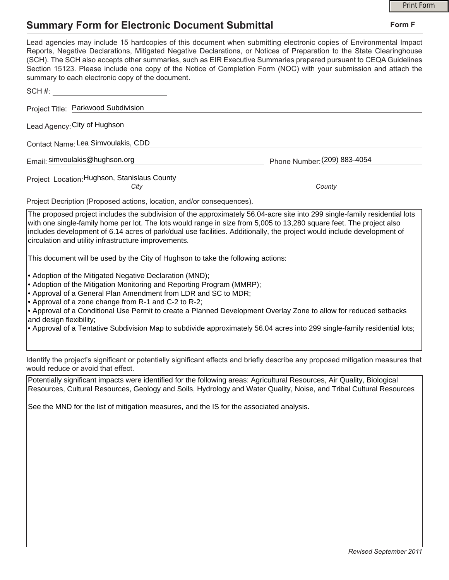## **Summary Form for Electronic Document Submittal**

|                                                                                                                                                                                                                                                                                                                                                                                                                                                                                                                                                                                                                                                                                                                                                                                                                                                                                                                                       | <b>Print Form</b>            |
|---------------------------------------------------------------------------------------------------------------------------------------------------------------------------------------------------------------------------------------------------------------------------------------------------------------------------------------------------------------------------------------------------------------------------------------------------------------------------------------------------------------------------------------------------------------------------------------------------------------------------------------------------------------------------------------------------------------------------------------------------------------------------------------------------------------------------------------------------------------------------------------------------------------------------------------|------------------------------|
| <b>Summary Form for Electronic Document Submittal</b>                                                                                                                                                                                                                                                                                                                                                                                                                                                                                                                                                                                                                                                                                                                                                                                                                                                                                 | Form F                       |
| Lead agencies may include 15 hardcopies of this document when submitting electronic copies of Environmental Impact<br>Reports, Negative Declarations, Mitigated Negative Declarations, or Notices of Preparation to the State Clearinghouse<br>(SCH). The SCH also accepts other summaries, such as EIR Executive Summaries prepared pursuant to CEQA Guidelines<br>Section 15123. Please include one copy of the Notice of Completion Form (NOC) with your submission and attach the<br>summary to each electronic copy of the document.                                                                                                                                                                                                                                                                                                                                                                                             |                              |
| SCH#:                                                                                                                                                                                                                                                                                                                                                                                                                                                                                                                                                                                                                                                                                                                                                                                                                                                                                                                                 |                              |
| Project Title: Parkwood Subdivision                                                                                                                                                                                                                                                                                                                                                                                                                                                                                                                                                                                                                                                                                                                                                                                                                                                                                                   |                              |
| Lead Agency: City of Hughson                                                                                                                                                                                                                                                                                                                                                                                                                                                                                                                                                                                                                                                                                                                                                                                                                                                                                                          |                              |
| Contact Name: Lea Simvoulakis, CDD                                                                                                                                                                                                                                                                                                                                                                                                                                                                                                                                                                                                                                                                                                                                                                                                                                                                                                    |                              |
| Email: simvoulakis@hughson.org                                                                                                                                                                                                                                                                                                                                                                                                                                                                                                                                                                                                                                                                                                                                                                                                                                                                                                        | Phone Number: (209) 883-4054 |
| Project Location: Hughson, Stanislaus County<br>City                                                                                                                                                                                                                                                                                                                                                                                                                                                                                                                                                                                                                                                                                                                                                                                                                                                                                  | County                       |
| Project Decription (Proposed actions, location, and/or consequences).                                                                                                                                                                                                                                                                                                                                                                                                                                                                                                                                                                                                                                                                                                                                                                                                                                                                 |                              |
| with one single-family home per lot. The lots would range in size from 5,005 to 13,280 square feet. The project also<br>includes development of 6.14 acres of park/dual use facilities. Additionally, the project would include development of<br>circulation and utility infrastructure improvements.<br>This document will be used by the City of Hughson to take the following actions:<br>• Adoption of the Mitigated Negative Declaration (MND);<br>• Adoption of the Mitigation Monitoring and Reporting Program (MMRP);<br>• Approval of a General Plan Amendment from LDR and SC to MDR;<br>• Approval of a zone change from R-1 and C-2 to R-2;<br>• Approval of a Conditional Use Permit to create a Planned Development Overlay Zone to allow for reduced setbacks<br>and design flexibility;<br>• Approval of a Tentative Subdivision Map to subdivide approximately 56.04 acres into 299 single-family residential lots; |                              |
| Identify the project's significant or potentially significant effects and briefly describe any proposed mitigation measures that<br>would reduce or avoid that effect.                                                                                                                                                                                                                                                                                                                                                                                                                                                                                                                                                                                                                                                                                                                                                                |                              |
| Potentially significant impacts were identified for the following areas: Agricultural Resources, Air Quality, Biological<br>Resources, Cultural Resources, Geology and Soils, Hydrology and Water Quality, Noise, and Tribal Cultural Resources                                                                                                                                                                                                                                                                                                                                                                                                                                                                                                                                                                                                                                                                                       |                              |
| See the MND for the list of mitigation measures, and the IS for the associated analysis.                                                                                                                                                                                                                                                                                                                                                                                                                                                                                                                                                                                                                                                                                                                                                                                                                                              |                              |
|                                                                                                                                                                                                                                                                                                                                                                                                                                                                                                                                                                                                                                                                                                                                                                                                                                                                                                                                       |                              |